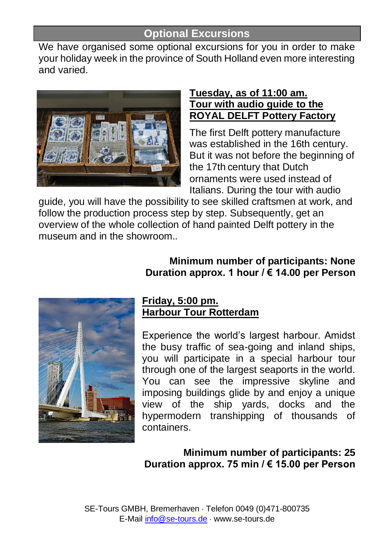# **Optional Excursions**

We have organised some optional excursions for you in order to make your holiday week in the province of South Holland even more interesting and varied.



#### **Tuesday, as of 11:00 am. Tour with audio guide to the ROYAL DELFT Pottery Factory**

The first Delft pottery manufacture was established in the 16th century. But it was not before the beginning of the 17th century that Dutch ornaments were used instead of Italians. During the tour with audio

guide, you will have the possibility to see skilled craftsmen at work, and follow the production process step by step. Subsequently, get an overview of the whole collection of hand painted Delft pottery in the museum and in the showroom.*.*

### **Minimum number of participants: None Duration approx. 1 hour / € 14.00 per Person**



### **Friday, 5:00 pm. Harbour Tour Rotterdam**

Experience the world's largest harbour. Amidst the busy traffic of sea-going and inland ships, you will participate in a special harbour tour through one of the largest seaports in the world. You can see the impressive skyline and imposing buildings glide by and enjoy a unique view of the ship yards, docks and the hypermodern transhipping of thousands of containers.

### **Minimum number of participants: 25 Duration approx. 75 min / € 15.00 per Person**